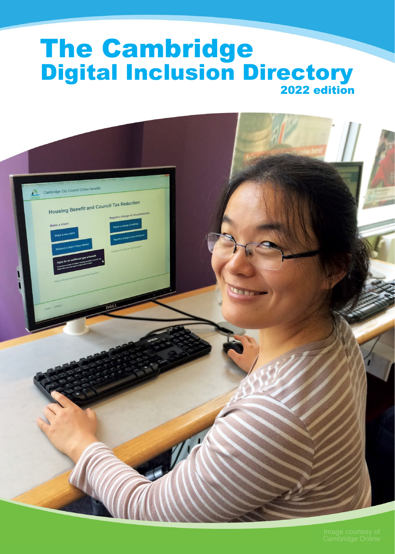# The Cambridge 2022 edition Digital Inclusion Directory

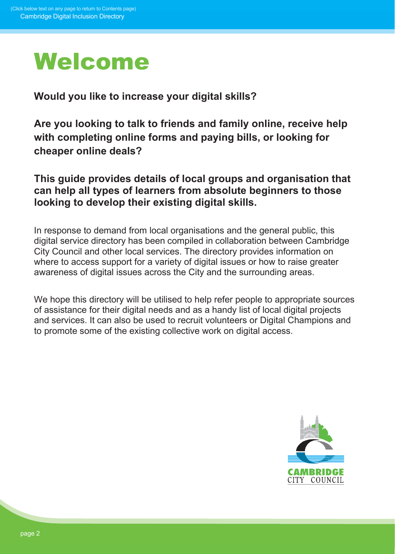

**Would you like to increase your digital skills?**

**Are you looking to talk to friends and family online, receive help with completing online forms and paying bills, or looking for cheaper online deals?**

**This guide provides details of local groups and organisation that can help all types of learners from absolute beginners to those looking to develop their existing digital skills.** 

In response to demand from local organisations and the general public, this digital service directory has been compiled in collaboration between Cambridge City Council and other local services. The directory provides information on where to access support for a variety of digital issues or how to raise greater awareness of digital issues across the City and the surrounding areas.

We hope this directory will be utilised to help refer people to appropriate sources of assistance for their digital needs and as a handy list of local digital projects and services. It can also be used to recruit volunteers or Digital Champions and to promote some of the existing collective work on digital access.

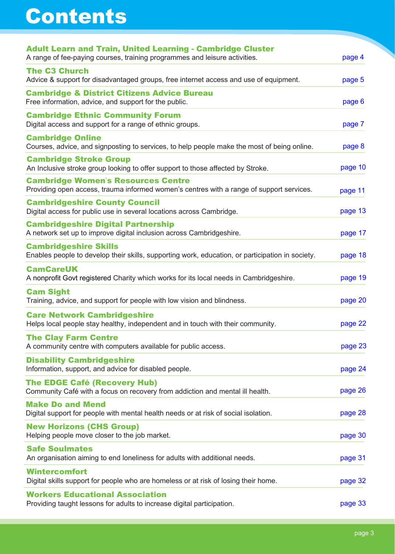# <span id="page-2-0"></span>Contents

| <b>Adult Learn and Train, United Learning - Cambridge Cluster</b><br>A range of fee-paying courses, training programmes and leisure activities. | page 4  |
|-------------------------------------------------------------------------------------------------------------------------------------------------|---------|
| <b>The C3 Church</b><br>Advice & support for disadvantaged groups, free internet access and use of equipment.                                   | page 5  |
| <b>Cambridge &amp; District Citizens Advice Bureau</b><br>Free information, advice, and support for the public.                                 | page 6  |
| <b>Cambridge Ethnic Community Forum</b><br>Digital access and support for a range of ethnic groups.                                             | page 7  |
| <b>Cambridge Online</b><br>Courses, advice, and signposting to services, to help people make the most of being online.                          | page 8  |
| <b>Cambridge Stroke Group</b><br>An Inclusive stroke group looking to offer support to those affected by Stroke.                                | page 10 |
| <b>Cambridge Women's Resources Centre</b><br>Providing open access, trauma informed women's centres with a range of support services.           | page 11 |
| <b>Cambridgeshire County Council</b><br>Digital access for public use in several locations across Cambridge.                                    | page 13 |
| <b>Cambridgeshire Digital Partnership</b><br>A network set up to improve digital inclusion across Cambridgeshire.                               | page 17 |
| <b>Cambridgeshire Skills</b><br>Enables people to develop their skills, supporting work, education, or participation in society.                | page 18 |
| <b>CamCareUK</b><br>A nonprofit Govt registered Charity which works for its local needs in Cambridgeshire.                                      | page 19 |
| <b>Cam Sight</b><br>Training, advice, and support for people with low vision and blindness.                                                     | page 20 |
| <b>Care Network Cambridgeshire</b><br>Helps local people stay healthy, independent and in touch with their community.                           | page 22 |
| <b>The Clay Farm Centre</b><br>A community centre with computers available for public access.                                                   | page 23 |
| <b>Disability Cambridgeshire</b><br>Information, support, and advice for disabled people.                                                       | page 24 |
| <b>The EDGE Café (Recovery Hub)</b><br>Community Café with a focus on recovery from addiction and mental ill health.                            | page 26 |
| <b>Make Do and Mend</b><br>Digital support for people with mental health needs or at risk of social isolation.                                  | page 28 |
| <b>New Horizons (CHS Group)</b><br>Helping people move closer to the job market.                                                                | page 30 |
| <b>Safe Soulmates</b><br>An organisation aiming to end loneliness for adults with additional needs.                                             | page 31 |
| <b>Wintercomfort</b><br>Digital skills support for people who are homeless or at risk of losing their home.                                     | page 32 |
| <b>Workers Educational Association</b><br>Providing taught lessons for adults to increase digital participation.                                | page 33 |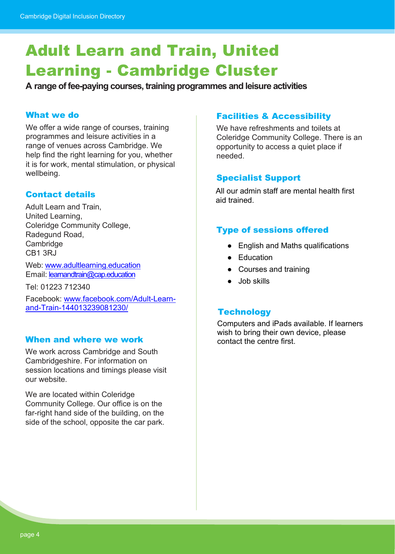# <span id="page-3-0"></span>Adult Learn and Train, United Learning - Cambridge Cluster

**A range of fee-paying courses, training programmes and leisure activities**

#### What we do

We offer a wide range of courses, training programmes and leisure activities in a range of venues across Cambridge. We help find the right learning for you, whether it is for work, mental stimulation, or physical wellbeing.

### Contact details

Adult Learn and Train, United Learning, Coleridge Community College, Radegund Road, **Cambridge** CB1 3RJ

Web: [www.adultlearning.education](https://adultlearning.education/) Email: [learnandtrain@cap.education](mailto:learnandtrain@cap.education)

Tel: 01223 712340

Facebook: [www.facebook.com/Adult-Learn](http://www.facebook.com/Adult-Learn-and-Train-144013239081230/)[and-Train-144013239081230/](http://www.facebook.com/Adult-Learn-and-Train-144013239081230/)

#### When and where we work

We work across Cambridge and South Cambridgeshire. For information on session locations and timings please visit our website.

We are located within Coleridge Community College. Our office is on the far-right hand side of the building, on the side of the school, opposite the car park.

#### Facilities & Accessibility

We have refreshments and toilets at Coleridge Community College. There is an opportunity to access a quiet place if needed.

### Specialist Support

All our admin staff are mental health first aid trained.

### Type of sessions offered

- English and Maths qualifications
- Education
- Courses and training
- Job skills

#### **Technology**

Computers and iPads available. If learners wish to bring their own device, please contact the centre first.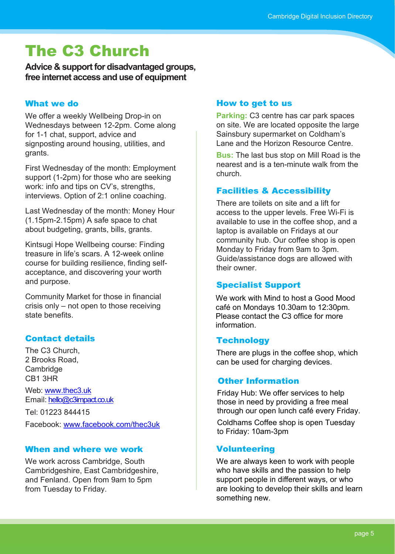# <span id="page-4-0"></span>The C3 Church

**Advice & support for disadvantaged groups, free internet access and use of equipment**

### What we do

We offer a weekly Wellbeing Drop-in on Wednesdays between 12-2pm. Come along for 1-1 chat, support, advice and signposting around housing, utilities, and grants.

First Wednesday of the month: Employment support (1-2pm) for those who are seeking work: info and tips on CV's, strengths, interviews. Option of 2:1 online coaching.

Last Wednesday of the month: Money Hour (1.15pm-2.15pm) A safe space to chat about budgeting, grants, bills, grants.

Kintsugi Hope Wellbeing course: Finding treasure in life's scars. A 12-week online course for building resilience, finding selfacceptance, and discovering your worth and purpose.

Community Market for those in financial crisis only – not open to those receiving state benefits.

# Contact details

The C3 Church, 2 Brooks Road, **Cambridge** CB1 3HR

Web: [www.thec3.uk](https://thec3.uk/) Email: [hello@c3impact.co.uk](mailto:hello@c3impact.co.uk)

Tel: 01223 844415 Facebook: [www.facebook.com/thec3uk](https://www.facebook.com/thec3uk)

### When and where we work

We work across Cambridge, South Cambridgeshire, East Cambridgeshire, and Fenland. Open from 9am to 5pm from Tuesday to Friday.

### How to get to us

**Parking:** C3 centre has car park spaces on site. We are located opposite the large Sainsbury supermarket on Coldham's Lane and the Horizon Resource Centre.

**Bus:** The last bus stop on Mill Road is the nearest and is a ten-minute walk from the church.

# Facilities & Accessibility

There are toilets on site and a lift for access to the upper levels. Free Wi-Fi is available to use in the coffee shop, and a laptop is available on Fridays at our community hub. Our coffee shop is open Monday to Friday from 9am to 3pm. Guide/assistance dogs are allowed with their owner.

# Specialist Support

We work with Mind to host a Good Mood café on Mondays 10.30am to 12:30pm. Please contact the C3 office for more information.

# **Technology**

There are plugs in the coffee shop, which can be used for charging devices.

# Other Information

Friday Hub: We offer services to help those in need by providing a free meal through our open lunch café every Friday.

Coldhams Coffee shop is open Tuesday to Friday: 10am-3pm

# Volunteering

We are always keen to work with people who have skills and the passion to help support people in different ways, or who are looking to develop their skills and learn something new.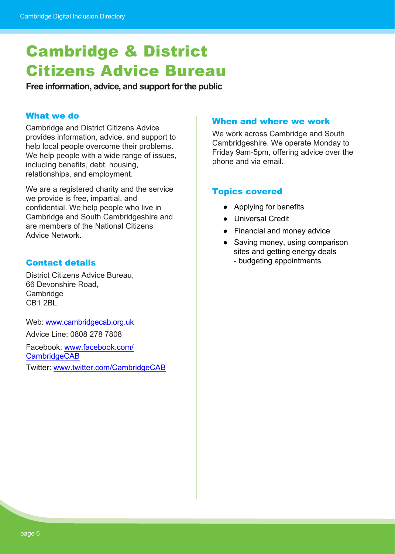# <span id="page-5-0"></span>Cambridge & District Citizens Advice Bureau

**Free information, advice, and support for the public**

#### What we do

Cambridge and District Citizens Advice provides information, advice, and support to help local people overcome their problems. We help people with a wide range of issues. including benefits, debt, housing, relationships, and employment.

We are a registered charity and the service we provide is free, impartial, and confidential. We help people who live in Cambridge and South Cambridgeshire and are members of the National Citizens Advice Network.

# Contact details

District Citizens Advice Bureau, 66 Devonshire Road, **Cambridge** CB1 2BL

Web: [www.cambridgecab.org.uk](https://www.cambridgecab.org.uk/) Advice Line: 0808 278 7808

Facebook: [www.facebook.com/](https://www.facebook.com/CambridgeCAB) **[CambridgeCAB](https://www.facebook.com/CambridgeCAB)** Twitter: [www.twitter.com/CambridgeCAB](https://twitter.com/CambridgeCAB)

#### When and where we work

We work across Cambridge and South Cambridgeshire. We operate Monday to Friday 9am-5pm, offering advice over the phone and via email.

#### Topics covered

- Applying for benefits
- Universal Credit
- Financial and money advice
- Saving money, using comparison sites and getting energy deals - budgeting appointments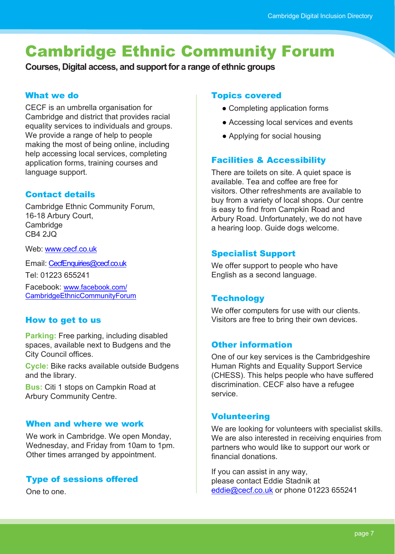# <span id="page-6-0"></span>Cambridge Ethnic Community Forum

**Courses, Digital access, and support for a range of ethnic groups**

#### What we do

CECF is an umbrella organisation for Cambridge and district that provides racial equality services to individuals and groups. We provide a range of help to people making the most of being online, including help accessing local services, completing application forms, training courses and language support.

# Contact details

Cambridge Ethnic Community Forum, 16-18 Arbury Court, **Cambridge** CB4 2JQ

Web: [www.cecf.co.uk](https://cecf.co.uk/)

Email: [CecfEnquiries@cecf.co.uk](mailto:CecfEnquiries@cecf.co.uk)

Tel: 01223 655241

Facebook: [www.facebook.com/](https://www.facebook.com/CambridgeEthnicCommunityForum) [CambridgeEthnicCommunityForum](https://www.facebook.com/CambridgeEthnicCommunityForum)

# How to get to us

**Parking:** Free parking, including disabled spaces, available next to Budgens and the City Council offices.

**Cycle:** Bike racks available outside Budgens and the library.

**Bus:** Citi 1 stops on Campkin Road at Arbury Community Centre.

### When and where we work

We work in Cambridge. We open Monday, Wednesday, and Friday from 10am to 1pm. Other times arranged by appointment.

# Type of sessions offered

One to one.

#### Topics covered

- Completing application forms
- Accessing local services and events
- Applying for social housing

# Facilities & Accessibility

There are toilets on site. A quiet space is available. Tea and coffee are free for visitors. Other refreshments are available to buy from a variety of local shops. Our centre is easy to find from Campkin Road and Arbury Road. Unfortunately, we do not have a hearing loop. Guide dogs welcome.

# Specialist Support

We offer support to people who have English as a second language.

### **Technology**

We offer computers for use with our clients. Visitors are free to bring their own devices.

### Other information

One of our key services is the Cambridgeshire Human Rights and Equality Support Service (CHESS). This helps people who have suffered discrimination. CECF also have a refugee service.

### **Volunteering**

We are looking for volunteers with specialist skills. We are also interested in receiving enquiries from partners who would like to support our work or financial donations.

If you can assist in any way, please contact Eddie Stadnik at [eddie@cecf.co.uk](mailto:eddie@cecf.co.uk) or phone 01223 655241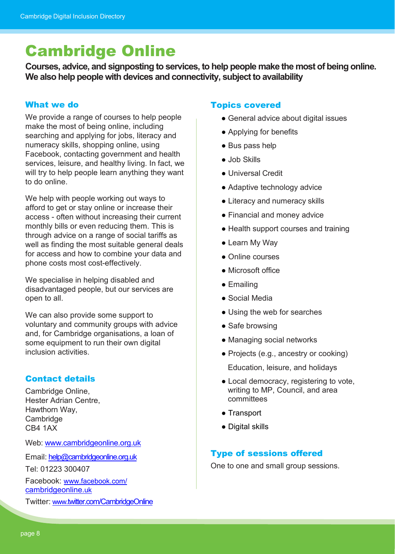# <span id="page-7-0"></span>Cambridge Online

**Courses, advice, and signposting to services, to help people make the most of being online. We also help people with devices and connectivity, subject to availability**

#### What we do

We provide a range of courses to help people make the most of being online, including searching and applying for jobs, literacy and numeracy skills, shopping online, using Facebook, contacting government and health services, leisure, and healthy living. In fact, we will try to help people learn anything they want to do online.

We help with people working out ways to afford to get or stay online or increase their access - often without increasing their current monthly bills or even reducing them. This is through advice on a range of social tariffs as well as finding the most suitable general deals for access and how to combine your data and phone costs most cost-effectively.

We specialise in helping disabled and disadvantaged people, but our services are open to all.

We can also provide some support to voluntary and community groups with advice and, for Cambridge organisations, a loan of some equipment to run their own digital inclusion activities.

### Contact details

Cambridge Online, Hester Adrian Centre, Hawthorn Way, **Cambridge** CB4 1AX

Web: [www.cambridgeonline.org.uk](https://cambridgeonline.org.uk/)

Email: [help@cambridgeonline.org.uk](mailto:help@cambridgeonline.org.uk)

Tel: 01223 300407

Facebook: [www.facebook.com/](https://www.facebook.com/cambridgeonline.uk) [cambridgeonline.uk](https://www.facebook.com/cambridgeonline.uk)

Twitter: [www.twitter.com/CambridgeOnline](https://twitter.com/CambridgeOnline)

#### Topics covered

- General advice about digital issues
- Applying for benefits
- Bus pass help
- Job Skills
- Universal Credit
- Adaptive technology advice
- Literacy and numeracy skills
- Financial and money advice
- Health support courses and training
- Learn My Way
- Online courses
- Microsoft office
- Emailing
- Social Media
- Using the web for searches
- Safe browsing
- Managing social networks
- Projects (e.g., ancestry or cooking)

Education, leisure, and holidays

- Local democracy, registering to vote, writing to MP, Council, and area committees
- Transport
- Digital skills

### Type of sessions offered

One to one and small group sessions.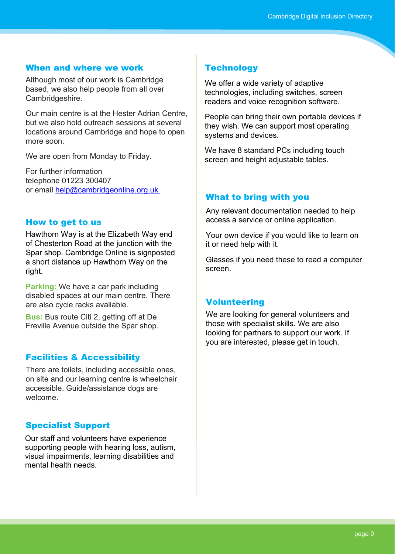### When and where we work

Although most of our work is Cambridge based, we also help people from all over Cambridgeshire.

Our main centre is at the Hester Adrian Centre, but we also hold outreach sessions at several locations around Cambridge and hope to open more soon.

We are open from Monday to Friday.

For further information telephone 01223 300407 or email [help@cambridgeonline.org.uk](mailto:help@cambridgeonline.org.uk)

#### How to get to us

Hawthorn Way is at the Elizabeth Way end of Chesterton Road at the junction with the Spar shop. Cambridge Online is signposted a short distance up Hawthorn Way on the right.

**Parking:** We have a car park including disabled spaces at our main centre. There are also cycle racks available.

**Bus:** Bus route Citi 2, getting off at De Freville Avenue outside the Spar shop.

### Facilities & Accessibility

There are toilets, including accessible ones, on site and our learning centre is wheelchair accessible. Guide/assistance dogs are welcome.

### Specialist Support

Our staff and volunteers have experience supporting people with hearing loss, autism, visual impairments, learning disabilities and mental health needs.

#### **Technology**

We offer a wide variety of adaptive technologies, including switches, screen readers and voice recognition software.

People can bring their own portable devices if they wish. We can support most operating systems and devices.

We have 8 standard PCs including touch screen and height adjustable tables.

#### What to bring with you

Any relevant documentation needed to help access a service or online application.

Your own device if you would like to learn on it or need help with it.

Glasses if you need these to read a computer screen.

#### **Volunteering**

We are looking for general volunteers and those with specialist skills. We are also looking for partners to support our work. If you are interested, please get in touch.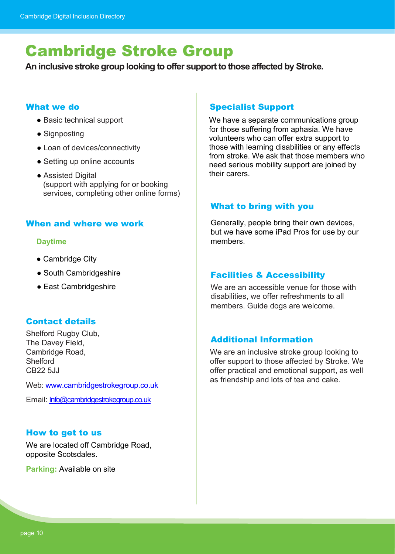# <span id="page-9-0"></span>Cambridge Stroke Group

**An inclusive stroke group looking to offer support to those affected by Stroke.**

#### What we do

- Basic technical support
- Signposting
- Loan of devices/connectivity
- Setting up online accounts
- Assisted Digital (support with applying for or booking services, completing other online forms)

#### When and where we work

#### **Daytime**

- Cambridge City
- South Cambridgeshire
- East Cambridgeshire

### Contact details

Shelford Rugby Club, The Davey Field, Cambridge Road, **Shelford** CB<sub>22</sub> 5.JJ

Web: [www.cambridgestrokegroup.co.uk](https://www.cambridgestrokegroup.co.uk/)

Email: [Info@cambridgestrokegroup.co.uk](mailto:Info@cambridgestrokegroup.co.uk)

### How to get to us

We are located off Cambridge Road, opposite Scotsdales.

**Parking:** Available on site

# Specialist Support

We have a separate communications group for those suffering from aphasia. We have volunteers who can offer extra support to those with learning disabilities or any effects from stroke. We ask that those members who need serious mobility support are joined by their carers.

### What to bring with you

Generally, people bring their own devices, but we have some iPad Pros for use by our members.

### Facilities & Accessibility

We are an accessible venue for those with disabilities, we offer refreshments to all members. Guide dogs are welcome.

### Additional Information

We are an inclusive stroke group looking to offer support to those affected by Stroke. We offer practical and emotional support, as well as friendship and lots of tea and cake.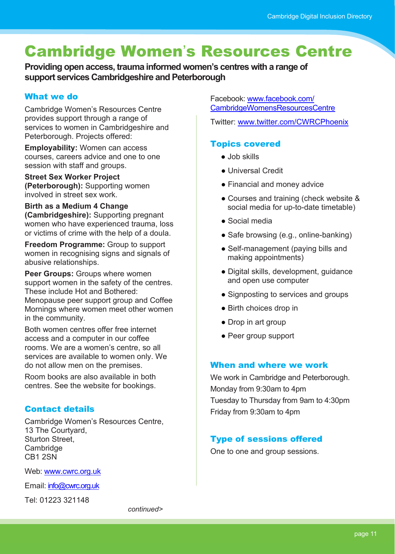# <span id="page-10-0"></span>Cambridge Women's Resources Centre

**Providing open access, trauma informed women's centres with a range of support services Cambridgeshire and Peterborough**

# What we do

Cambridge Women's Resources Centre provides support through a range of services to women in Cambridgeshire and Peterborough. Projects offered:

**Employability:** Women can access courses, careers advice and one to one session with staff and groups.

**Street Sex Worker Project (Peterborough):** Supporting women involved in street sex work.

# **Birth as a Medium 4 Change**

**(Cambridgeshire):** Supporting pregnant women who have experienced trauma, loss or victims of crime with the help of a doula.

**Freedom Programme:** Group to support women in recognising signs and signals of abusive relationships.

**Peer Groups:** Groups where women support women in the safety of the centres. These include Hot and Bothered:

Menopause peer support group and Coffee Mornings where women meet other women in the community.

Both women centres offer free internet access and a computer in our coffee rooms. We are a women's centre, so all services are available to women only. We do not allow men on the premises.

Room books are also available in both centres. See the website for bookings.

# Contact details

Cambridge Women's Resources Centre, 13 The Courtyard, Sturton Street, **Cambridge** CB1 2SN

Web: [www.cwrc.org.uk](https://www.cwrc.org.uk/)

Email: [info@cwrc.org.uk](mailto:info@cwrc.org.uk)

Tel: 01223 321148

Facebook: [www.facebook.com/](https://www.facebook.com/CambridgeWomensResourcesCentre) [CambridgeWomensResourcesCentre](https://www.facebook.com/CambridgeWomensResourcesCentre)

Twitter: [www.twitter.com/CWRCPhoenix](https://twitter.com/CWRCPhoenix)

# Topics covered

- Job skills
- Universal Credit
- Financial and money advice
- Courses and training (check website & social media for up-to-date timetable)
- Social media
- Safe browsing (e.g., online-banking)
- Self-management (paying bills and making appointments)
- Digital skills, development, guidance and open use computer
- Signposting to services and groups
- Birth choices drop in
- Drop in art group
- Peer group support

# When and where we work

We work in Cambridge and Peterborough. Monday from 9:30am to 4pm Tuesday to Thursday from 9am to 4:30pm Friday from 9:30am to 4pm

# Type of sessions offered

One to one and group sessions.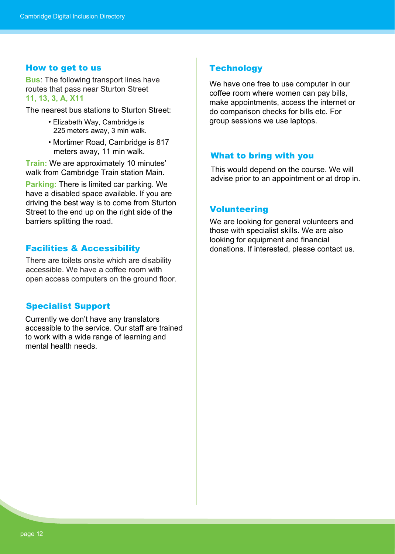#### How to get to us

**Bus**: The following transport lines have routes that pass near Sturton Street **11, 13, 3, A, X11**

The nearest bus stations to Sturton Street:

- Elizabeth Way, Cambridge is 225 meters away, 3 min walk.
- Mortimer Road, Cambridge is 817 meters away, 11 min walk.

**Train:** We are approximately 10 minutes' walk from Cambridge Train station Main.

**Parking:** There is limited car parking. We have a disabled space available. If you are driving the best way is to come from Sturton Street to the end up on the right side of the barriers splitting the road.

#### Facilities & Accessibility

There are toilets onsite which are disability accessible. We have a coffee room with open access computers on the ground floor.

#### Specialist Support

Currently we don't have any translators accessible to the service. Our staff are trained to work with a wide range of learning and mental health needs.

#### **Technology**

We have one free to use computer in our coffee room where women can pay bills, make appointments, access the internet or do comparison checks for bills etc. For group sessions we use laptops.

#### What to bring with you

This would depend on the course. We will advise prior to an appointment or at drop in.

#### Volunteering

We are looking for general volunteers and those with specialist skills. We are also looking for equipment and financial donations. If interested, please contact us.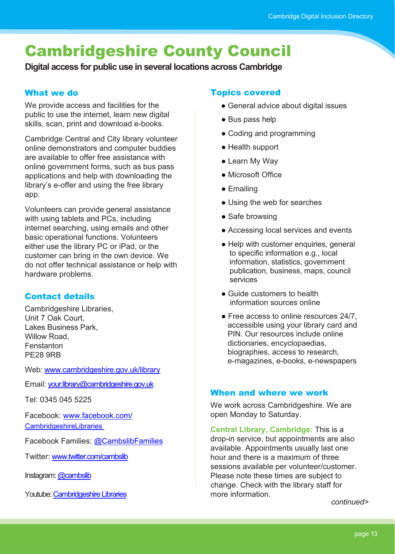# <span id="page-12-0"></span>Cambridgeshire County Council

**Digital access for public use in several locations across Cambridge**

# What we do

We provide access and facilities for the public to use the internet, learn new digital skills, scan, print and download e-books.

Cambridge Central and City library volunteer online demonstrators and computer buddies are available to offer free assistance with online government forms, such as bus pass applications and help with downloading the library's e-offer and using the free library app.

Volunteers can provide general assistance with using tablets and PCs, including internet searching, using emails and other basic operational functions. Volunteers either use the library PC or iPad, or the customer can bring in the own device. We do not offer technical assistance or help with hardware problems.

# Contact details

Cambridgeshire Libraries, Unit 7 Oak Court, Lakes Business Park, Willow Road, Fenstanton PE28 9RB

Web: [www.cambridgeshire.gov.uk/library](https://www.cambridgeshire.gov.uk/library)

Email: [your.library@cambridgeshire.gov.uk](mailto:your.library@cambridgeshire.gov.uk)

Tel: 0345 045 5225

Facebook: [www.facebook.com/](https://www.facebook.com/CambridgeshireLibraries) **[CambridgeshireLibraries](https://www.facebook.com/CambridgeshireLibraries)** 

Facebook Families: [@CambslibFamilies](https://www.facebook.com/CambslibFamilies)

Twitter: [www.twitter.com/cambslib](https://twitter.com/cambslib)

Instagram: @cambslib

Youtube[: Cambridgeshire Libraries](https://www.youtube.com/channel/UCqTsenjKqV2Iq2A7zpo4d8w)

# Topics covered

- General advice about digital issues
- Bus pass help
- Coding and programming
- Health support
- Learn My Way
- Microsoft Office
- Emailing
- Using the web for searches
- Safe browsing
- Accessing local services and events
- Help with customer enquiries, general to specific information e.g., local information, statistics, government publication, business, maps, council services
- Guide customers to health information sources online
- Free access to online resources 24/7, accessible using your library card and PIN. Our resources include online dictionaries, encyclopaedias, biographies, access to research, e-magazines, e-books, e-newspapers

### When and where we work

We work across Cambridgeshire. We are open Monday to Saturday.

**Central Library, Cambridge:** This is a drop-in service, but appointments are also available. Appointments usually last one hour and there is a maximum of three sessions available per volunteer/customer. Please note these times are subject to change. Check with the library staff for more information.

*continued>*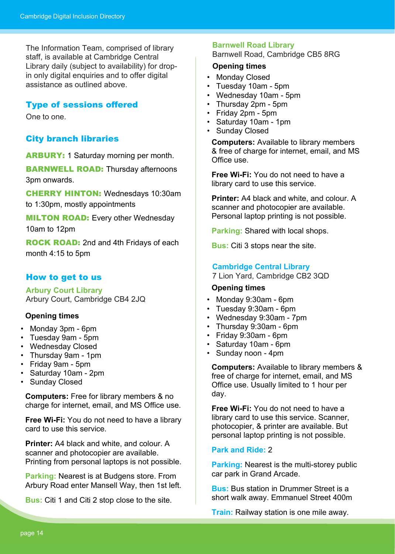The Information Team, comprised of library staff, is available at Cambridge Central Library daily (subject to availability) for dropin only digital enquiries and to offer digital assistance as outlined above.

#### Type of sessions offered

One to one.

#### City branch libraries

ARBURY: 1 Saturday morning per month.

**BARNWELL ROAD:** Thursday afternoons 3pm onwards.

CHERRY HINTON: Wednesdays 10:30am to 1:30pm, mostly appointments

**MILTON ROAD:** Every other Wednesday 10am to 12pm

**ROCK ROAD:** 2nd and 4th Fridays of each month 4:15 to 5pm

#### How to get to us

**Arbury Court Library** Arbury Court, Cambridge CB4 2JQ

#### **Opening times**

- Monday 3pm 6pm
- Tuesday 9am 5pm
- Wednesday Closed
- Thursday 9am 1pm
- Friday 9am 5pm
- Saturday 10am 2pm
- Sunday Closed

**Computers:** Free for library members & no charge for internet, email, and MS Office use.

**Free Wi-Fi:** You do not need to have a library card to use this service.

**Printer:** A4 black and white, and colour. A scanner and photocopier are available. Printing from personal laptops is not possible.

**Parking:** Nearest is at Budgens store. From Arbury Road enter Mansell Way, then 1st left.

**Bus:** Citi 1 and Citi 2 stop close to the site.

#### **Barnwell Road Library** Barnwell Road, Cambridge CB5 8RG

#### **Opening times**

- Monday Closed
- Tuesday 10am 5pm
- Wednesday 10am 5pm
- Thursday 2pm 5pm
- Friday 2pm 5pm
- Saturday 10am 1pm
- Sunday Closed

**Computers:** Available to library members & free of charge for internet, email, and MS Office use.

**Free Wi-Fi:** You do not need to have a library card to use this service.

**Printer:** A4 black and white, and colour. A scanner and photocopier are available. Personal laptop printing is not possible.

**Parking:** Shared with local shops.

**Bus:** Citi 3 stops near the site.

#### **Cambridge Central Library**

7 Lion Yard, Cambridge CB2 3QD

#### **Opening times**

- Monday 9:30am 6pm
- Tuesday 9:30am 6pm
- Wednesday 9:30am 7pm
- Thursday 9:30am 6pm
- Friday 9:30am 6pm
- Saturday 10am 6pm
- Sunday noon 4pm

**Computers:** Available to library members & free of charge for internet, email, and MS Office use. Usually limited to 1 hour per day.

**Free Wi-Fi:** You do not need to have a library card to use this service. Scanner, photocopier, & printer are available. But personal laptop printing is not possible.

#### **Park and Ride:** 2

**Parking:** Nearest is the multi-storey public car park in Grand Arcade.

**Bus:** Bus station in Drummer Street is a short walk away. Emmanuel Street 400m

**Train:** Railway station is one mile away.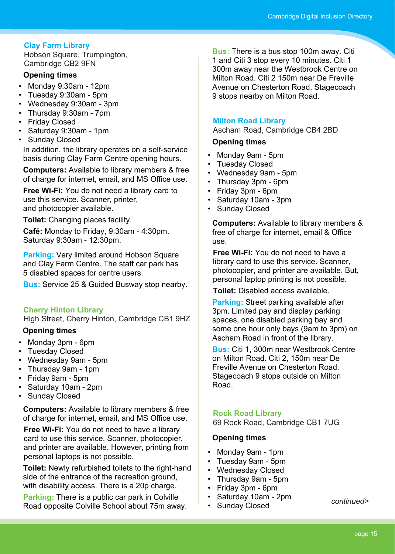### **Clay Farm Library**

Hobson Square, Trumpington, Cambridge CB2 9FN

#### **Opening times**

- Monday 9:30am 12pm
- Tuesday 9:30am 5pm
- Wednesday 9:30am 3pm
- Thursday 9:30am 7pm
- Friday Closed
- Saturday 9:30am 1pm
- Sunday Closed

In addition, the library operates on a self-service basis during Clay Farm Centre opening hours.

**Computers:** Available to library members & free of charge for internet, email, and MS Office use.

**Free Wi-Fi:** You do not need a library card to use this service. Scanner, printer, and photocopier available.

**Toilet:** Changing places facility.

**Café:** Monday to Friday, 9:30am - 4:30pm. Saturday 9:30am - 12:30pm.

**Parking: Very limited around Hobson Square** and Clay Farm Centre. The staff car park has 5 disabled spaces for centre users.

**Bus:** Service 25 & Guided Busway stop nearby.

#### **Cherry Hinton Library**

High Street, Cherry Hinton, Cambridge CB1 9HZ

#### **Opening times**

- Monday 3pm 6pm
- Tuesday Closed
- Wednesday 9am 5pm
- Thursday 9am 1pm
- Friday 9am 5pm
- Saturday 10am 2pm
- Sunday Closed

**Computers:** Available to library members & free of charge for internet, email, and MS Office use.

**Free Wi-Fi:** You do not need to have a library card to use this service. Scanner, photocopier, and printer are available. However, printing from personal laptops is not possible.

**Toilet:** Newly refurbished toilets to the right-hand side of the entrance of the recreation ground, with disability access. There is a 20p charge.

**Parking:** There is a public car park in Colville Road opposite Colville School about 75m away.

**Bus:** There is a bus stop 100m away. Citi 1 and Citi 3 stop every 10 minutes. Citi 1 300m away near the Westbrook Centre on Milton Road. Citi 2 150m near De Freville Avenue on Chesterton Road. Stagecoach 9 stops nearby on Milton Road.

#### **Milton Road Library**

Ascham Road, Cambridge CB4 2BD

#### **Opening times**

- Monday 9am 5pm
- Tuesday Closed
- Wednesday 9am 5pm
- Thursday 3pm 6pm
- Friday 3pm 6pm
- Saturday 10am 3pm
- Sunday Closed

**Computers:** Available to library members & free of charge for internet, email & Office use.

**Free Wi-Fi:** You do not need to have a library card to use this service. Scanner, photocopier, and printer are available. But, personal laptop printing is not possible.

**Toilet:** Disabled access available.

**Parking:** Street parking available after 3pm. Limited pay and display parking spaces, one disabled parking bay and some one hour only bays (9am to 3pm) on Ascham Road in front of the library.

**Bus:** Citi 1, 300m near Westbrook Centre on Milton Road. Citi 2, 150m near De Freville Avenue on Chesterton Road. Stagecoach 9 stops outside on Milton Road.

#### **Rock Road Library**

69 Rock Road, Cambridge CB1 7UG

#### **Opening times**

- Monday 9am 1pm
- Tuesday 9am 5pm
- Wednesday Closed
- Thursday 9am 5pm
- Friday 3pm 6pm
- Saturday 10am 2pm
- Sunday Closed

*continued>*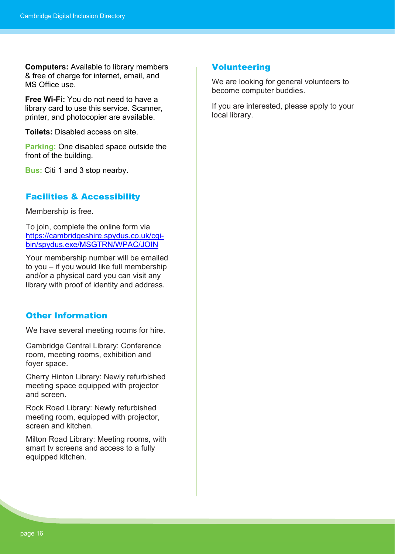**Computers:** Available to library members & free of charge for internet, email, and MS Office use.

**Free Wi-Fi:** You do not need to have a library card to use this service. Scanner, printer, and photocopier are available.

**Toilets:** Disabled access on site.

**Parking:** One disabled space outside the front of the building.

**Bus:** Citi 1 and 3 stop nearby.

### Facilities & Accessibility

Membership is free.

To join, complete the online form via [https://cambridgeshire.spydus.co.uk/cgi](https://cambridgeshire.spydus.co.uk/cgi-bin/spydus.exe/MSGTRN/WPAC/JOIN)[bin/spydus.exe/MSGTRN/WPAC/JOIN](https://cambridgeshire.spydus.co.uk/cgi-bin/spydus.exe/MSGTRN/WPAC/JOIN)

Your membership number will be emailed to you – if you would like full membership and/or a physical card you can visit any library with proof of identity and address.

#### Other Information

We have several meeting rooms for hire.

Cambridge Central Library: Conference room, meeting rooms, exhibition and foyer space.

Cherry Hinton Library: Newly refurbished meeting space equipped with projector and screen.

Rock Road Library: Newly refurbished meeting room, equipped with projector, screen and kitchen

Milton Road Library: Meeting rooms, with smart tv screens and access to a fully equipped kitchen.

#### **Volunteering**

We are looking for general volunteers to become computer buddies.

If you are interested, please apply to your local library.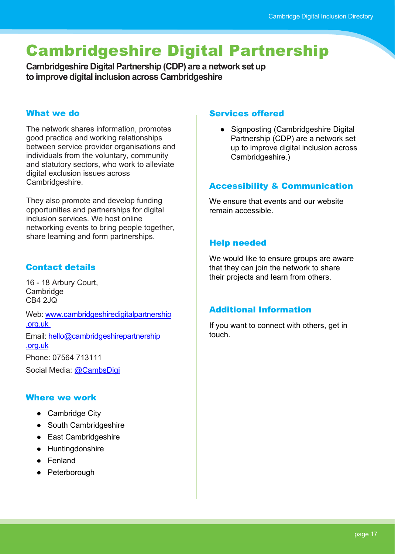# <span id="page-16-0"></span>Cambridgeshire Digital Partnership

**Cambridgeshire Digital Partnership (CDP) are a network set up to improve digital inclusion across Cambridgeshire**

#### What we do

The network shares information, promotes good practice and working relationships between service provider organisations and individuals from the voluntary, community and statutory sectors, who work to alleviate digital exclusion issues across Cambridgeshire.

They also promote and develop funding opportunities and partnerships for digital inclusion services. We host online networking events to bring people together, share learning and form partnerships.

# Contact details

16 - 18 Arbury Court, Cambridge CB4 2JQ

Web: [www.cambridgeshiredigitalpartnership](https://cambridgeshiredigitalpartnership.org.uk/) [.org.uk](https://cambridgeshiredigitalpartnership.org.uk/)

Email: [hello@cambridgeshirepartnership](mailto:hello@cambridgeshirepartnership.org.uk) [.org.uk](mailto:hello@cambridgeshirepartnership.org.uk) 

Phone: 07564 713111

Social Media: [@CambsDigi](https://twitter.com/CambsDigi)

### Where we work

- Cambridge City
- South Cambridgeshire
- East Cambridgeshire
- Huntingdonshire
- Fenland
- Peterborough

#### Services offered

● Signposting (Cambridgeshire Digital Partnership (CDP) are a network set up to improve digital inclusion across Cambridgeshire.)

### Accessibility & Communication

We ensure that events and our website remain accessible.

### Help needed

We would like to ensure groups are aware that they can join the network to share their projects and learn from others.

### Additional Information

If you want to connect with others, get in touch.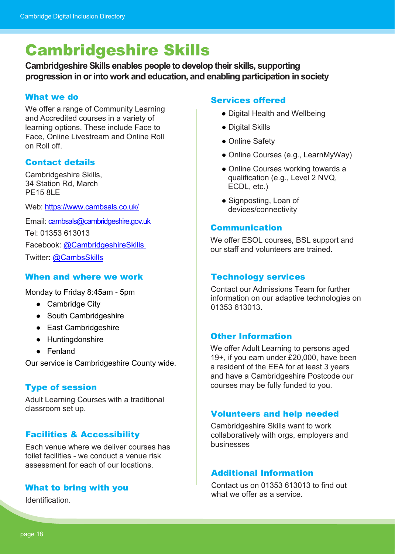# <span id="page-17-0"></span>Cambridgeshire Skills

**Cambridgeshire Skills enables people to develop their skills, supporting progression in or into work and education, and enabling participation in society**

### What we do

We offer a range of Community Learning and Accredited courses in a variety of learning options. These include Face to Face, Online Livestream and Online Roll on Roll off.

# Contact details

Cambridgeshire Skills, 34 Station Rd, March PE15 8LE

Web:<https://www.cambsals.co.uk/>

Email: [cambsals@cambridgeshire.gov.uk](mailto:cambsals@cambridgeshire.gov.uk) Tel: 01353 613013 Facebook: [@CambridgeshireSkills](https://www.facebook.com/CambridgeshireSkills)  Twitter: [@CambsSkills](https://twitter.com/CambsSkills)

### When and where we work

Monday to Friday 8:45am - 5pm

- Cambridge City
- South Cambridgeshire
- East Cambridgeshire
- Huntingdonshire
- Fenland

Our service is Cambridgeshire County wide.

### Type of session

Adult Learning Courses with a traditional classroom set up.

# Facilities & Accessibility

Each venue where we deliver courses has toilet facilities - we conduct a venue risk assessment for each of our locations.

### What to bring with you

**Identification** 

#### Services offered

- Digital Health and Wellbeing
- Digital Skills
- Online Safety
- Online Courses (e.g., LearnMyWay)
- Online Courses working towards a qualification (e.g., Level 2 NVQ, ECDL, etc.)
- Signposting, Loan of devices/connectivity

#### Communication

We offer ESOL courses, BSL support and our staff and volunteers are trained.

#### Technology services

Contact our Admissions Team for further information on our adaptive technologies on 01353 613013.

### Other Information

We offer Adult Learning to persons aged 19+, if you earn under £20,000, have been a resident of the EEA for at least 3 years and have a Cambridgeshire Postcode our courses may be fully funded to you.

### Volunteers and help needed

Cambridgeshire Skills want to work collaboratively with orgs, employers and businesses

#### Additional Information

Contact us on 01353 613013 to find out what we offer as a service.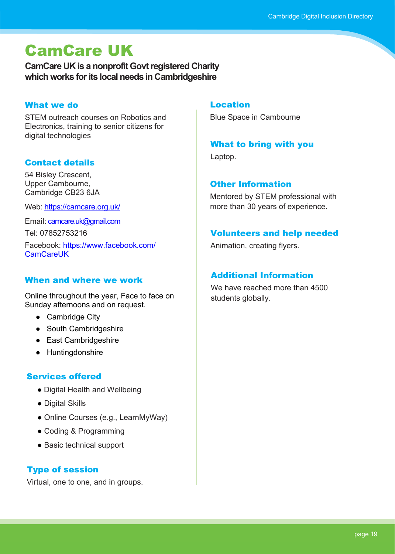# <span id="page-18-0"></span>CamCare UK

**CamCare UK is a nonprofit Govt registered Charity which works for its local needs in Cambridgeshire**

#### What we do

STEM outreach courses on Robotics and Electronics, training to senior citizens for digital technologies

# Contact details

54 Bisley Crescent, Upper Cambourne, Cambridge CB23 6JA

Web:<https://camcare.org.uk/>

Email: [camcare.uk@gmail.com](mailto:camcare.uk@gmail.com)

Tel: 07852753216

Facebook: [https://www.facebook.com/](https://www.facebook.com/CamCareUK) **CamCareUK** 

# When and where we work

Online throughout the year, Face to face on Sunday afternoons and on request.

- Cambridge City
- South Cambridgeshire
- East Cambridgeshire
- Huntingdonshire

# Services offered

- Digital Health and Wellbeing
- Digital Skills
- Online Courses (e.g., LearnMyWay)
- Coding & Programming
- Basic technical support

# Type of session

Virtual, one to one, and in groups.

#### Location

Blue Space in Cambourne

### What to bring with you

Laptop.

### Other Information

Mentored by STEM professional with more than 30 years of experience.

# Volunteers and help needed

Animation, creating flyers.

# Additional Information

We have reached more than 4500 students globally.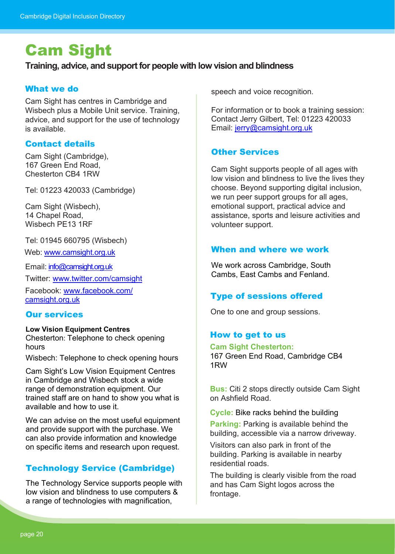# <span id="page-19-0"></span>Cam Sight

#### **Training, advice, and support for people with low vision and blindness**

#### What we do

Cam Sight has centres in Cambridge and Wisbech plus a Mobile Unit service. Training, advice, and support for the use of technology is available.

# Contact details

Cam Sight (Cambridge), 167 Green End Road, Chesterton CB4 1RW

Tel: 01223 420033 (Cambridge)

Cam Sight (Wisbech), 14 Chapel Road, Wisbech PE13 1RF

Tel: 01945 660795 (Wisbech)

Web: [www.camsight.org.uk](https://www.camsight.org.uk/)

Email: [info@camsight.org.uk](mailto:info@camsight.org.uk)

Twitter: [www.twitter.com/camsight](https://twitter.com/camsight)

Facebook: [www.facebook.com/](https://www.facebook.com/camsight.org.uk) [camsight.org.uk](https://www.facebook.com/camsight.org.uk)

#### Our services

#### **Low Vision Equipment Centres**

Chesterton: Telephone to check opening hours

Wisbech: Telephone to check opening hours

Cam Sight's Low Vision Equipment Centres in Cambridge and Wisbech stock a wide range of demonstration equipment. Our trained staff are on hand to show you what is available and how to use it.

We can advise on the most useful equipment and provide support with the purchase. We can also provide information and knowledge on specific items and research upon request.

# Technology Service (Cambridge)

The Technology Service supports people with low vision and blindness to use computers & a range of technologies with magnification,

speech and voice recognition.

For information or to book a training session: Contact Jerry Gilbert, Tel: 01223 420033 Email: [jerry@camsight.org.uk](mailto:jerry@camsight.org.uk)

### **Other Services**

Cam Sight supports people of all ages with low vision and blindness to live the lives they choose. Beyond supporting digital inclusion, we run peer support groups for all ages, emotional support, practical advice and assistance, sports and leisure activities and volunteer support.

#### When and where we work

We work across Cambridge, South Cambs, East Cambs and Fenland.

### Type of sessions offered

One to one and group sessions.

### How to get to us

#### **Cam Sight Chesterton:**

167 Green End Road, Cambridge CB4 1RW

**Bus:** Citi 2 stops directly outside Cam Sight on Ashfield Road.

**Cycle:** Bike racks behind the building

**Parking:** Parking is available behind the building, accessible via a narrow driveway.

Visitors can also park in front of the building. Parking is available in nearby residential roads.

The building is clearly visible from the road and has Cam Sight logos across the frontage.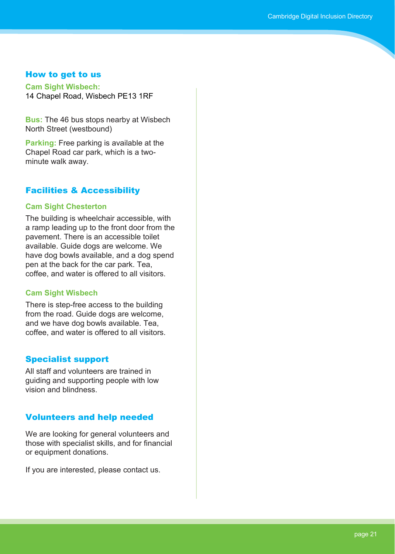#### How to get to us

**Cam Sight Wisbech:** 14 Chapel Road, Wisbech PE13 1RF

**Bus:** The 46 bus stops nearby at Wisbech North Street (westbound)

**Parking:** Free parking is available at the Chapel Road car park, which is a twominute walk away.

### Facilities & Accessibility

#### **Cam Sight Chesterton**

The building is wheelchair accessible, with a ramp leading up to the front door from the pavement. There is an accessible toilet available. Guide dogs are welcome. We have dog bowls available, and a dog spend pen at the back for the car park. Tea, coffee, and water is offered to all visitors.

#### **Cam Sight Wisbech**

There is step-free access to the building from the road. Guide dogs are welcome, and we have dog bowls available. Tea, coffee, and water is offered to all visitors.

### Specialist support

All staff and volunteers are trained in guiding and supporting people with low vision and blindness.

### Volunteers and help needed

We are looking for general volunteers and those with specialist skills, and for financial or equipment donations.

If you are interested, please contact us.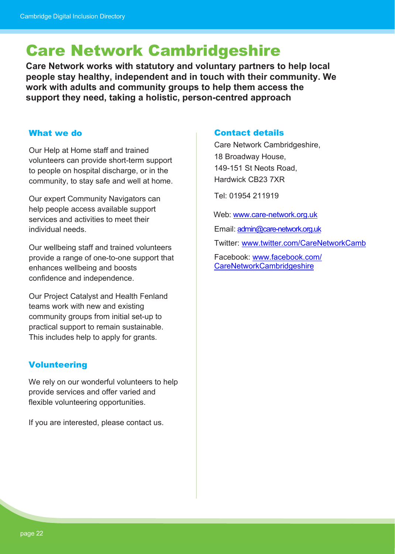# <span id="page-21-0"></span>Care Network Cambridgeshire

**Care Network works with statutory and voluntary partners to help local people stay healthy, independent and in touch with their community. We work with adults and community groups to help them access the support they need, taking a holistic, person-centred approach**

#### What we do

Our Help at Home staff and trained volunteers can provide short-term support to people on hospital discharge, or in the community, to stay safe and well at home.

Our expert Community Navigators can help people access available support services and activities to meet their individual needs.

Our wellbeing staff and trained volunteers provide a range of one-to-one support that enhances wellbeing and boosts confidence and independence.

Our Project Catalyst and Health Fenland teams work with new and existing community groups from initial set-up to practical support to remain sustainable. This includes help to apply for grants.

### Volunteering

We rely on our wonderful volunteers to help provide services and offer varied and flexible volunteering opportunities.

If you are interested, please contact us.

#### Contact details

Care Network Cambridgeshire, 18 Broadway House, 149-151 St Neots Road, Hardwick CB23 7XR

Tel: 01954 211919

Web: [www.care-network.org.uk](https://care-network.org.uk/)

Email: [admin@care-network.org.uk](mailto:admin@care-network.org.uk)

Twitter: [www.twitter.com/CareNetworkCamb](https://twitter.com/CareNetworkCamb)

Facebook: [www.facebook.com/](https://www.facebook.com/CareNetworkCambridgeshire) [CareNetworkCambridgeshire](https://www.facebook.com/CareNetworkCambridgeshire)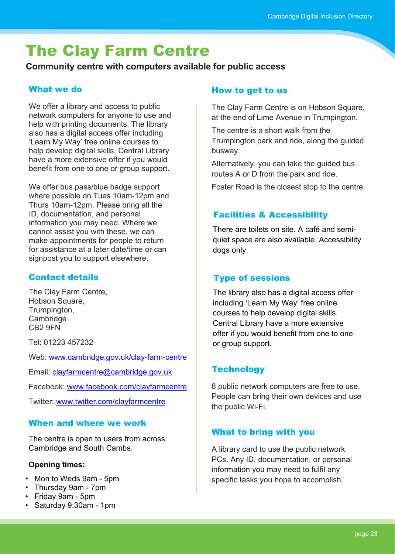# <span id="page-22-0"></span>The Clay Farm Centre

**Community centre with computers available for public access**

# What we do

We offer a library and access to public network computers for anyone to use and help with printing documents. The library also has a digital access offer including 'Learn My Way' free online courses to help develop digital skills. Central Library have a more extensive offer if you would benefit from one to one or group support.

We offer bus pass/blue badge support where possible on Tues 10am-12pm and Thurs 10am-12pm. Please bring all the ID, documentation, and personal information you may need. Where we cannot assist you with these, we can make appointments for people to return for assistance at a later date/time or can signpost you to support elsewhere.

# Contact details

The Clay Farm Centre, Hobson Square, Trumpington, Cambridge CB2 9FN

Tel: 01223 457232

Web: [www.cambridge.gov.uk/clay-farm-centre](https://www.cambridge.gov.uk/clay-farm-centre)

Email: [clayfarmcentre@cambridge.gov.uk](mailto:clayfarmcentre@cambridge.gov.uk)

Facebook: [www.facebook.com/clayfarmcentre](https://www.facebook.com/clayfarmcentre)

Twitter: [www.twitter.com/clayfarmcentre](https://twitter.com/clayfarmcentre)

# When and where we work

The centre is open to users from across Cambridge and South Cambs.

### **Opening times:**

- Mon to Weds 9am 5pm
- Thursday 9am 7pm
- Friday 9am 5pm
- Saturday 9:30am 1pm

#### How to get to us

The Clay Farm Centre is on Hobson Square, at the end of Lime Avenue in Trumpington.

The centre is a short walk from the Trumpington park and ride, along the guided busway.

Alternatively, you can take the guided bus routes A or D from the park and ride.

Foster Road is the closest stop to the centre.

# Facilities & Accessibility

There are toilets on site. A café and semiquiet space are also available. Accessibility dogs only.

# Type of sessions

The library also has a digital access offer including 'Learn My Way' free online courses to help develop digital skills. Central Library have a more extensive offer if you would benefit from one to one or group support.

# **Technology**

8 public network computers are free to use. People can bring their own devices and use the public Wi-Fi.

# What to bring with you

A library card to use the public network PCs. Any ID, documentation, or personal information you may need to fulfil any specific tasks you hope to accomplish.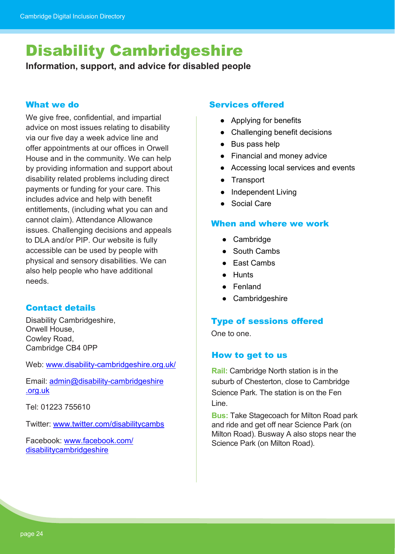# <span id="page-23-0"></span>Disability Cambridgeshire

**Information, support, and advice for disabled people**

#### What we do

We give free, confidential, and impartial advice on most issues relating to disability via our five day a week advice line and offer appointments at our offices in Orwell House and in the community. We can help by providing information and support about disability related problems including direct payments or funding for your care. This includes advice and help with benefit entitlements, (including what you can and cannot claim). Attendance Allowance issues. Challenging decisions and appeals to DLA and/or PIP. Our website is fully accessible can be used by people with physical and sensory disabilities. We can also help people who have additional needs.

### Contact details

Disability Cambridgeshire, Orwell House, Cowley Road, Cambridge CB4 0PP

Web: [www.disability-cambridgeshire.org.uk/](https://disability-cambridgeshire.org.uk/)

Email: [admin@disability-cambridgeshire](mailto:admin@disability-cambridgeshire) [.org.uk](mailto:admin@disability-cambridgeshire)

Tel: 01223 755610

Twitter: [www.twitter.com/disabilitycambs](https://twitter.com/disabilitycambs)

Facebook: [www.facebook.com/](https://www.facebook.com/disabilitycambridgeshire) [disabilitycambridgeshire](https://www.facebook.com/disabilitycambridgeshire)

#### Services offered

- Applying for benefits
- Challenging benefit decisions
- Bus pass help
- Financial and money advice
- Accessing local services and events
- Transport
- Independent Living
- Social Care

#### When and where we work

- Cambridge
- South Cambs
- East Cambs
- Hunts
- Fenland
- Cambridgeshire

#### Type of sessions offered

One to one.

#### How to get to us

**Rail:** Cambridge North station is in the suburb of Chesterton, close to Cambridge Science Park. The station is on the Fen Line.

**Bus:** Take Stagecoach for Milton Road park and ride and get off near Science Park (on Milton Road). Busway A also stops near the Science Park (on Milton Road).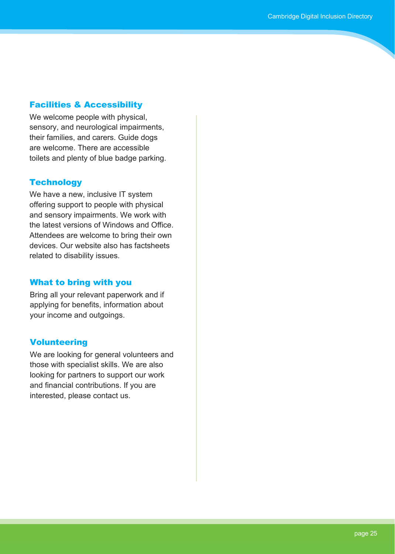#### Facilities & Accessibility

We welcome people with physical, sensory, and neurological impairments, their families, and carers. Guide dogs are welcome. There are accessible toilets and plenty of blue badge parking.

#### **Technology**

We have a new, inclusive IT system offering support to people with physical and sensory impairments. We work with the latest versions of Windows and Office. Attendees are welcome to bring their own devices. Our website also has factsheets related to disability issues.

#### What to bring with you

Bring all your relevant paperwork and if applying for benefits, information about your income and outgoings.

### **Volunteering**

We are looking for general volunteers and those with specialist skills. We are also looking for partners to support our work and financial contributions. If you are interested, please contact us.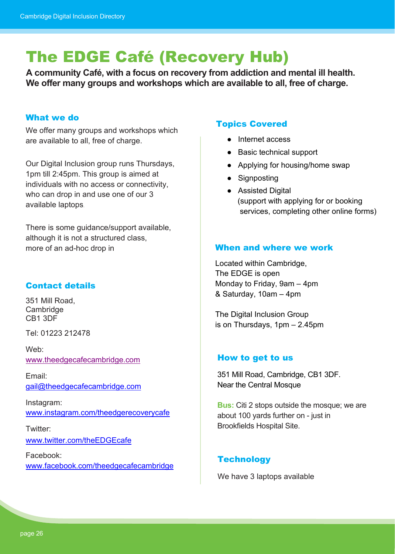# <span id="page-25-0"></span>The EDGE Café (Recovery Hub)

**A community Café, with a focus on recovery from addiction and mental ill health. We offer many groups and workshops which are available to all, free of charge.**

#### What we do

We offer many groups and workshops which are available to all, free of charge.

Our Digital Inclusion group runs Thursdays, 1pm till 2:45pm. This group is aimed at individuals with no access or connectivity, who can drop in and use one of our 3 available laptops.

There is some guidance/support available, although it is not a structured class, more of an ad-hoc drop in **Example 20 and where we work** 

# Contact details

351 Mill Road, Cambridge CB1 3DF

Tel: 01223 212478

Web: [www.theedgecafecambridge.com](http://www.theedgecafecambridge.com/)

Email: [gail@theedgecafecambridge.com](mailto:gail@theedgecafecambridge.com)

Instagram: [www.instagram.com/theedgerecoverycafe](https://www.instagram.com/theedgerecoverycafe)

Twitter: [www.twitter.com/theEDGEcafe](https://twitter.com/theEDGEcafe)

Facebook: [www.facebook.com/theedgecafecambridge](https://www.facebook.com/theedgecafecambridge)

#### Topics Covered

- Internet access
- Basic technical support
- Applying for housing/home swap
- Signposting
- Assisted Digital (support with applying for or booking services, completing other online forms)

Located within Cambridge, The EDGE is open Monday to Friday, 9am – 4pm & Saturday, 10am – 4pm

The Digital Inclusion Group is on Thursdays, 1pm – 2.45pm

#### How to get to us

351 Mill Road, Cambridge, CB1 3DF. Near the Central Mosque

**Bus:** Citi 2 stops outside the mosque; we are about 100 yards further on - just in Brookfields Hospital Site.

### **Technology**

We have 3 laptops available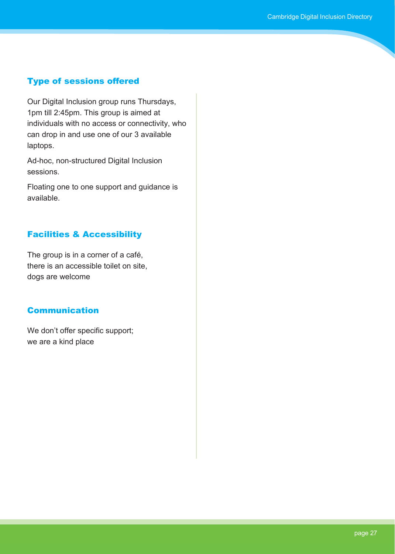### Type of sessions offered

Our Digital Inclusion group runs Thursdays, 1pm till 2:45pm. This group is aimed at individuals with no access or connectivity, who can drop in and use one of our 3 available laptops.

Ad-hoc, non-structured Digital Inclusion sessions.

Floating one to one support and guidance is available.

# Facilities & Accessibility

The group is in a corner of a café, there is an accessible toilet on site, dogs are welcome

### Communication

We don't offer specific support; we are a kind place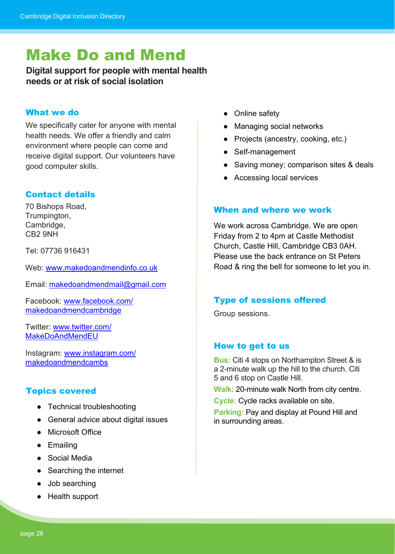# <span id="page-27-0"></span>Make Do and Mend

# **Digital support for people with mental health needs or at risk of social isolation**

#### What we do

We specifically cater for anyone with mental health needs. We offer a friendly and calm environment where people can come and receive digital support. Our volunteers have good computer skills.

# Contact details

70 Bishops Road, Trumpington, Cambridge, CB2 9NH

Tel: 07736 916431

Web: [www.makedoandmendinfo.co.uk](https://makedoandmendinfo.co.uk/)

Email: [makedoandmendmail@gmail.com](mailto:makedoandmendmail@gmail.com)

Facebook: [www.facebook.com/](https://www.facebook.com/makedoandmendcambridge) [makedoandmendcambridge](https://www.facebook.com/makedoandmendcambridge)

Twitter: [www.twitter.com/](https://twitter.com/MakeDoAndMendEU) [MakeDoAndMendEU](https://twitter.com/MakeDoAndMendEU)

Instagram: [www.instagram.com/](https://www.instagram.com/makedoandmendcambs/) [makedoandmendcambs](https://www.instagram.com/makedoandmendcambs/)

### Topics covered

- Technical troubleshooting
- General advice about digital issues
- Microsoft Office
- Emailing
- Social Media
- Searching the internet
- Job searching
- Health support
- Online safety
- Managing social networks
- Projects (ancestry, cooking, etc.)
- Self-management
- Saving money; comparison sites & deals
- Accessing local services

#### When and where we work

We work across Cambridge. We are open Friday from 2 to 4pm at Castle Methodist Church, Castle Hill, Cambridge CB3 0AH. Please use the back entrance on St Peters Road & ring the bell for someone to let you in.

#### Type of sessions offered

Group sessions.

#### How to get to us

**Bus:** Citi 4 stops on Northampton Street & is a 2-minute walk up the hill to the church. Citi 5 and 6 stop on Castle Hill.

**Walk:** 20-minute walk North from city centre.

**Cycle:** Cycle racks available on site.

**Parking:** Pay and display at Pound Hill and in surrounding areas.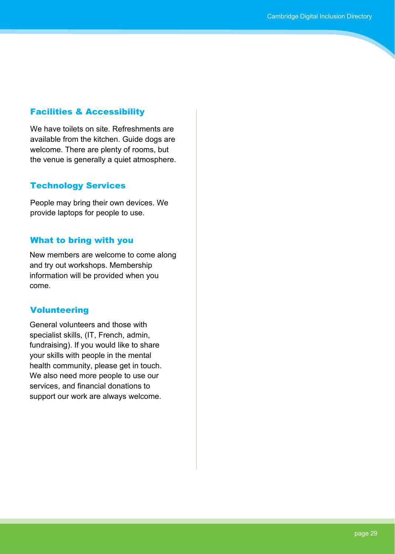#### Facilities & Accessibility

We have toilets on site. Refreshments are available from the kitchen. Guide dogs are welcome. There are plenty of rooms, but the venue is generally a quiet atmosphere.

#### Technology Services

People may bring their own devices. We provide laptops for people to use.

#### What to bring with you

New members are welcome to come along and try out workshops. Membership information will be provided when you come.

#### Volunteering

General volunteers and those with specialist skills, (IT, French, admin, fundraising). If you would like to share your skills with people in the mental health community, please get in touch. We also need more people to use our services, and financial donations to support our work are always welcome.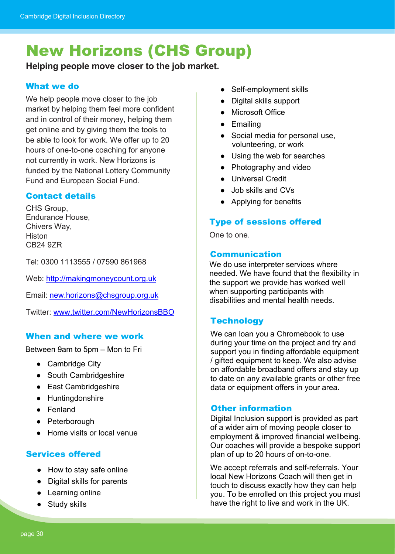# <span id="page-29-0"></span>New Horizons (CHS Group)

**Helping people move closer to the job market.** 

# What we do

We help people move closer to the job market by helping them feel more confident and in control of their money, helping them get online and by giving them the tools to be able to look for work. We offer up to 20 hours of one-to-one coaching for anyone not currently in work. New Horizons is funded by the National Lottery Community Fund and European Social Fund.

# Contact details

CHS Group, Endurance House, Chivers Way, Histon CB24 9ZR

Tel: 0300 1113555 / 07590 861968

Web: [http://makingmoneycount.org.uk](http://makingmoneycount.org.uk/)

Email: [new.horizons@chsgroup.org.uk](mailto:new.horizons@chsgroup.org.uk)

Twitter: [www.twitter.com/NewHorizonsBBO](https://twitter.com/NewHorizonsBBO)

# When and where we work

Between 9am to 5pm – Mon to Fri

- Cambridge City
- South Cambridgeshire
- East Cambridgeshire
- Huntingdonshire
- Fenland
- Peterborough
- Home visits or local venue

# Services offered

- How to stay safe online
- Digital skills for parents
- Learning online
- Study skills
- Self-employment skills
- Digital skills support
- **Microsoft Office**
- Emailing
- Social media for personal use, volunteering, or work
- Using the web for searches
- Photography and video
- Universal Credit
- Job skills and CVs
- Applying for benefits

# Type of sessions offered

One to one.

# Communication

We do use interpreter services where needed. We have found that the flexibility in the support we provide has worked well when supporting participants with disabilities and mental health needs.

# **Technology**

We can loan you a Chromebook to use during your time on the project and try and support you in finding affordable equipment / gifted equipment to keep. We also advise on affordable broadband offers and stay up to date on any available grants or other free data or equipment offers in your area.

# Other information

Digital Inclusion support is provided as part of a wider aim of moving people closer to employment & improved financial wellbeing. Our coaches will provide a bespoke support plan of up to 20 hours of on-to-one.

We accept referrals and self-referrals. Your local New Horizons Coach will then get in touch to discuss exactly how they can help you. To be enrolled on this project you must have the right to live and work in the UK.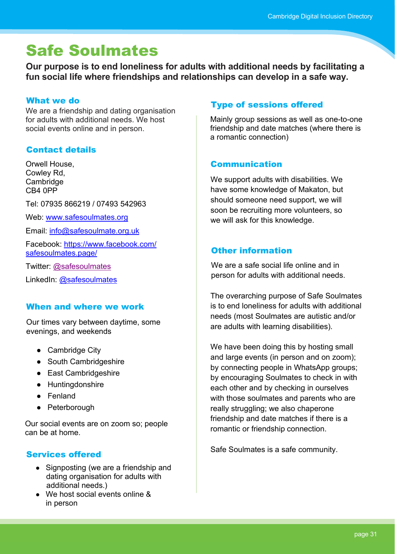# <span id="page-30-0"></span>Safe Soulmates

**Our purpose is to end loneliness for adults with additional needs by facilitating a fun social life where friendships and relationships can develop in a safe way.**

#### What we do

We are a friendship and dating organisation for adults with additional needs. We host social events online and in person.

# Contact details

Orwell House, Cowley Rd, **Cambridge** CB4 0PP

Tel: 07935 866219 / 07493 542963

Web: [www.safesoulmates.org](https://safesoulmates.org/)

Email: [info@safesoulmate.org.uk](mailto:info@safesoulmate.org.uk)

Facebook: [https://www.facebook.com/](https://www.facebook.com/safesoulmates.page/) [safesoulmates.page/](https://www.facebook.com/safesoulmates.page/)

Twitter: [@safesoulmates](https://twitter.com/SafeSoulmates)

LinkedIn: [@safesoulmates](https://www.linkedin.com/company/safe-soulmates-cic/)

### When and where we work

Our times vary between daytime, some evenings, and weekends

- Cambridge City
- South Cambridgeshire
- East Cambridgeshire
- Huntingdonshire
- Fenland
- Peterborough

Our social events are on zoom so; people can be at home.

# Services offered

- Signposting (we are a friendship and dating organisation for adults with additional needs.)
- We host social events online & in person

# Type of sessions offered

Mainly group sessions as well as one-to-one friendship and date matches (where there is a romantic connection)

# Communication

We support adults with disabilities. We have some knowledge of Makaton, but should someone need support, we will soon be recruiting more volunteers, so we will ask for this knowledge.

# Other information

We are a safe social life online and in person for adults with additional needs.

The overarching purpose of Safe Soulmates is to end loneliness for adults with additional needs (most Soulmates are autistic and/or are adults with learning disabilities).

We have been doing this by hosting small and large events (in person and on zoom); by connecting people in WhatsApp groups; by encouraging Soulmates to check in with each other and by checking in ourselves with those soulmates and parents who are really struggling; we also chaperone friendship and date matches if there is a romantic or friendship connection.

Safe Soulmates is a safe community.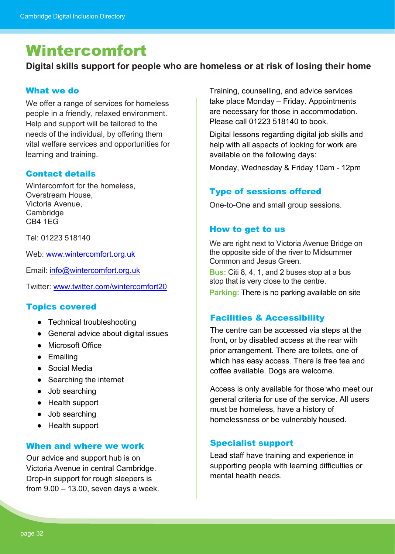# <span id="page-31-0"></span>Wintercomfort

**Digital skills support for people who are homeless or at risk of losing their home**

#### What we do

We offer a range of services for homeless people in a friendly, relaxed environment. Help and support will be tailored to the needs of the individual, by offering them vital welfare services and opportunities for learning and training.

#### Contact details

Wintercomfort for the homeless, Overstream House, Victoria Avenue, **Cambridge** CB4 1EG

Tel: 01223 518140

Web: [www.wintercomfort.org.uk](https://wintercomfort.org.uk/)

Email: [info@wintercomfort.org.uk](mailto:info@wintercomfort.org.uk)

Twitter: [www.twitter.com/wintercomfort20](https://twitter.com/wintercomfort20)

#### Topics covered

- Technical troubleshooting
- General advice about digital issues
- Microsoft Office
- Emailing
- Social Media
- Searching the internet
- Job searching
- Health support
- Job searching
- Health support

#### When and where we work

Our advice and support hub is on Victoria Avenue in central Cambridge. Drop-in support for rough sleepers is from  $9.00 - 13.00$ , seven days a week. Training, counselling, and advice services take place Monday – Friday. Appointments are necessary for those in accommodation. Please call 01223 518140 to book.

Digital lessons regarding digital job skills and help with all aspects of looking for work are available on the following days:

Monday, Wednesday & Friday 10am - 12pm

# Type of sessions offered

One-to-One and small group sessions.

#### How to get to us

We are right next to Victoria Avenue Bridge on the opposite side of the river to Midsummer Common and Jesus Green.

**Bus:** Citi 8, 4, 1, and 2 buses stop at a bus stop that is very close to the centre.

**Parking:** There is no parking available on site

### Facilities & Accessibility

The centre can be accessed via steps at the front, or by disabled access at the rear with prior arrangement. There are toilets, one of which has easy access. There is free tea and coffee available. Dogs are welcome.

Access is only available for those who meet our general criteria for use of the service. All users must be homeless, have a history of homelessness or be vulnerably housed.

### Specialist support

Lead staff have training and experience in supporting people with learning difficulties or mental health needs.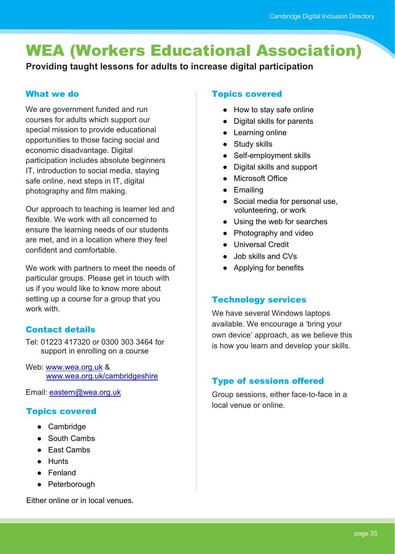# <span id="page-32-0"></span>WEA (Workers Educational Association)

**Providing taught lessons for adults to increase digital participation**

### What we do

We are government funded and run courses for adults which support our special mission to provide educational opportunities to those facing social and economic disadvantage. Digital participation includes absolute beginners IT, introduction to social media, staying safe online, next steps in IT, digital photography and film making.

Our approach to teaching is learner led and flexible. We work with all concerned to ensure the learning needs of our students are met, and in a location where they feel confident and comfortable.

We work with partners to meet the needs of particular groups. Please get in touch with us if you would like to know more about setting up a course for a group that you work with

# Contact details

Tel: 01223 417320 or 0300 303 3464 for support in enrolling on a course

Web: [www.wea.org.uk](https://www.wea.org.uk/) & [www.wea.org.uk/cambridgeshire](https://www.wea.org.uk/eastern/cambridgeshire)

Email: [eastern@wea.org.uk](mailto:eastern@wea.org.uk)

# Topics covered

- Cambridge
- South Cambs
- East Cambs
- Hunts
- Fenland
- Peterborough

Either online or in local venues.

# Topics covered

- How to stay safe online
- Digital skills for parents
- Learning online
- Study skills
- Self-employment skills
- Digital skills and support
- Microsoft Office
- Emailing
- Social media for personal use, volunteering, or work
- Using the web for searches
- Photography and video
- Universal Credit
- Job skills and CVs
- Applying for benefits

# Technology services

We have several Windows laptops available. We encourage a 'bring your own device' approach, as we believe this is how you learn and develop your skills.

# Type of sessions offered

Group sessions, either face-to-face in a local venue or online.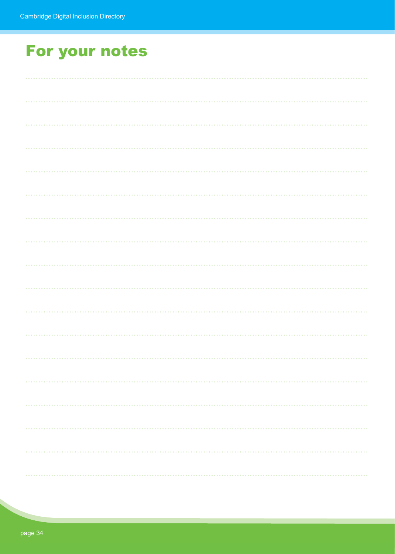# For your notes

| $\begin{array}{cccccccccccccc} 0 & 0 & 0 & 0 & 0 & 0 \end{array}$ |
|-------------------------------------------------------------------|
|                                                                   |
|                                                                   |
|                                                                   |
|                                                                   |